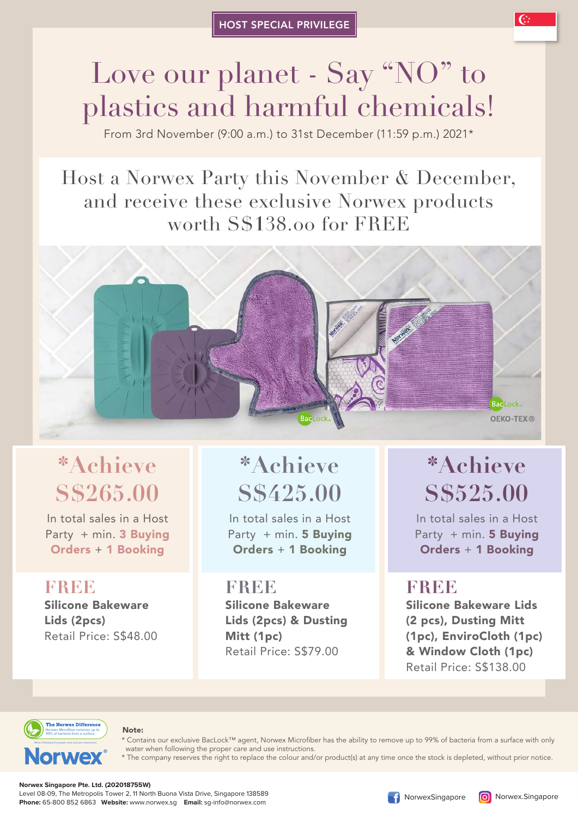# Love our planet - Say "NO" to plastics and harmful chemicals!

From 3rd November (9:00 a.m.) to 31st December (11:59 p.m.) 2021\*

## Host a Norwex Party this November & December, and receive these exclusive Norwex products worth S\$**1**38.00 for FREE



## **\*Achieve S\$265.00**

In total sales in a Host Party + min. 3 Buying Orders + 1 Booking

**FREE** Silicone Bakeware Lids (2pcs) Retail Price: S\$48.00

## **\*Achieve S\$425.00**

In total sales in a Host Party + min. 5 Buying Orders + 1 Booking

### **FREE** Silicone Bakeware Lids (2pcs) & Dusting Mitt (1pc) Retail Price: S\$79.00

## **\*Achieve S\$525.00**

In total sales in a Host Party + min. 5 Buying Orders + 1 Booking

## **FREE**

Silicone Bakeware Lids (2 pcs), Dusting Mitt (1pc), EnviroCloth (1pc) & Window Cloth (1pc) Retail Price: S\$138.00



#### Note:

\* Contains our exclusive BacLock™ agent, Norwex Microfiber has the ability to remove up to 99% of bacteria from a surface with only water when following the proper care and use instructions.

The company reserves the right to replace the colour and/or product(s) at any time once the stock is depleted, without prior notice.

#### **Norwex Singapore Pte. Ltd. (202018755W)**

Level 08-09, The Metropolis Tower 2, 11 North Buona Vista Drive, Singapore 138589 **Phone:** 65-800 852 6863 **Website:** www.norwex.sg **Email:** sg-info@norwex.com